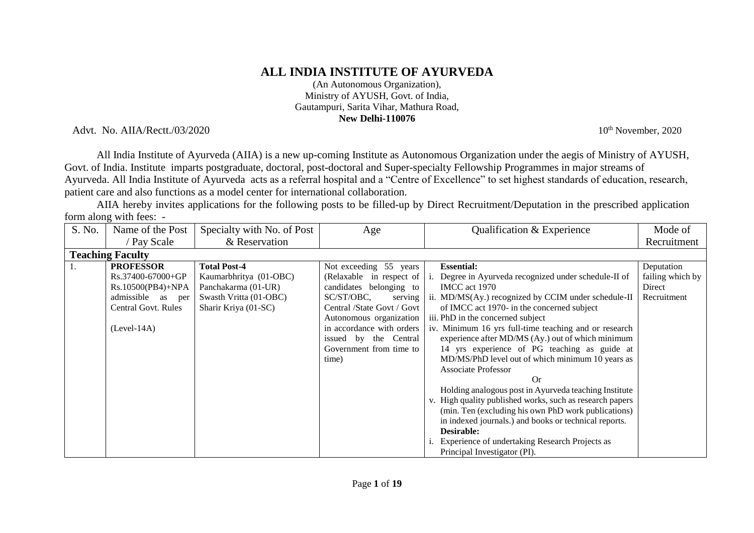# **ALL INDIA INSTITUTE OF AYURVEDA**

(An Autonomous Organization), Ministry of AYUSH, Govt. of India, Gautampuri, Sarita Vihar, Mathura Road, **New Delhi-110076**

Advt. No. AIIA/Rectt./03/2020 10<sup>th</sup> November, 2020

All India Institute of Ayurveda (AIIA) is a new up-coming Institute as Autonomous Organization under the aegis of Ministry of AYUSH, Govt. of India. Institute imparts postgraduate, doctoral, post-doctoral and Super-specialty Fellowship Programmes in major streams of Ayurveda. All India Institute of Ayurveda acts as a referral hospital and a "Centre of Excellence" to set highest standards of education, research, patient care and also functions as a model center for international collaboration.

AIIA hereby invites applications for the following posts to be filled-up by Direct Recruitment/Deputation in the prescribed application form along with fees: -

| S. No. | Name of the Post           | Specialty with No. of Post | Age                        | Qualification & Experience                               | Mode of          |
|--------|----------------------------|----------------------------|----------------------------|----------------------------------------------------------|------------------|
|        | / Pay Scale                | & Reservation              |                            |                                                          | Recruitment      |
|        | <b>Teaching Faculty</b>    |                            |                            |                                                          |                  |
|        | <b>PROFESSOR</b>           | <b>Total Post-4</b>        | Not exceeding 55 years     | <b>Essential:</b>                                        | Deputation       |
|        | Rs.37400-67000+GP          | Kaumarbhritya (01-OBC)     | (Relaxable in respect of   | Degree in Ayurveda recognized under schedule-II of       | failing which by |
|        | Rs.10500(PB4)+NPA          | Panchakarma (01-UR)        | candidates belonging to    | IMCC act 1970                                            | Direct           |
|        | admissible as<br>per       | Swasth Vritta (01-OBC)     | SC/ST/OBC,<br>serving      | ii. MD/MS(Ay.) recognized by CCIM under schedule-II      | Recruitment      |
|        | <b>Central Govt. Rules</b> | Sharir Kriya (01-SC)       | Central /State Govt / Govt | of IMCC act 1970- in the concerned subject               |                  |
|        |                            |                            | Autonomous organization    | iii. PhD in the concerned subject                        |                  |
|        | $(Level-14A)$              |                            | in accordance with orders  | iv. Minimum 16 yrs full-time teaching and or research    |                  |
|        |                            |                            | issued by the Central      | experience after MD/MS (Ay.) out of which minimum        |                  |
|        |                            |                            | Government from time to    | 14 yrs experience of PG teaching as guide at             |                  |
|        |                            |                            | time)                      | MD/MS/PhD level out of which minimum 10 years as         |                  |
|        |                            |                            |                            | <b>Associate Professor</b>                               |                  |
|        |                            |                            |                            | Or                                                       |                  |
|        |                            |                            |                            | Holding analogous post in Ayurveda teaching Institute    |                  |
|        |                            |                            |                            | v. High quality published works, such as research papers |                  |
|        |                            |                            |                            | (min. Ten (excluding his own PhD work publications)      |                  |
|        |                            |                            |                            | in indexed journals.) and books or technical reports.    |                  |
|        |                            |                            |                            | Desirable:                                               |                  |
|        |                            |                            |                            | Experience of undertaking Research Projects as           |                  |
|        |                            |                            |                            | Principal Investigator (PI).                             |                  |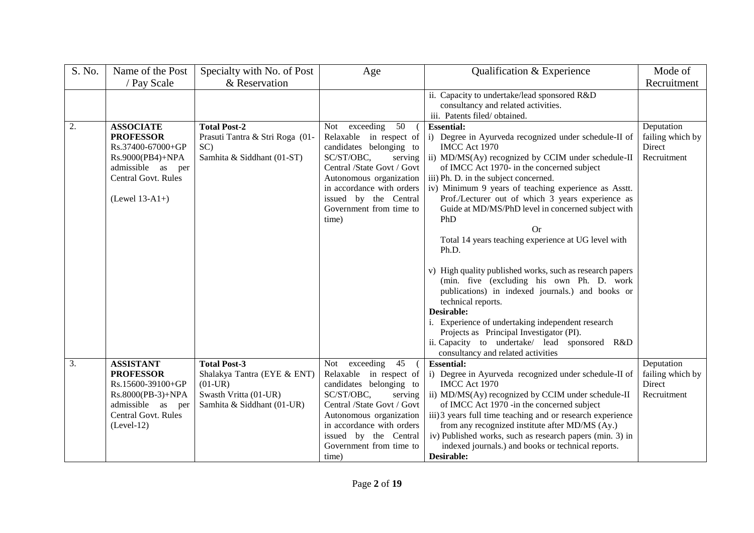| S. No. | Name of the Post                                                                                                                                     | Specialty with No. of Post                                                                      | Age                                                                                                                                                                                                                                                   | Qualification & Experience                                                                                                                                                                                                                                                                                                                                                                                                                                                                                                                                                                         | Mode of                                                 |
|--------|------------------------------------------------------------------------------------------------------------------------------------------------------|-------------------------------------------------------------------------------------------------|-------------------------------------------------------------------------------------------------------------------------------------------------------------------------------------------------------------------------------------------------------|----------------------------------------------------------------------------------------------------------------------------------------------------------------------------------------------------------------------------------------------------------------------------------------------------------------------------------------------------------------------------------------------------------------------------------------------------------------------------------------------------------------------------------------------------------------------------------------------------|---------------------------------------------------------|
|        | / Pay Scale                                                                                                                                          | & Reservation                                                                                   |                                                                                                                                                                                                                                                       |                                                                                                                                                                                                                                                                                                                                                                                                                                                                                                                                                                                                    | Recruitment                                             |
|        |                                                                                                                                                      |                                                                                                 |                                                                                                                                                                                                                                                       | ii. Capacity to undertake/lead sponsored R&D                                                                                                                                                                                                                                                                                                                                                                                                                                                                                                                                                       |                                                         |
|        |                                                                                                                                                      |                                                                                                 |                                                                                                                                                                                                                                                       | consultancy and related activities.                                                                                                                                                                                                                                                                                                                                                                                                                                                                                                                                                                |                                                         |
|        |                                                                                                                                                      |                                                                                                 |                                                                                                                                                                                                                                                       | iii. Patents filed/obtained.                                                                                                                                                                                                                                                                                                                                                                                                                                                                                                                                                                       |                                                         |
| 2.     | <b>ASSOCIATE</b><br><b>PROFESSOR</b><br>Rs.37400-67000+GP<br>Rs.9000(PB4)+NPA<br>admissible as per<br><b>Central Govt. Rules</b><br>$(Level 13-A1+)$ | <b>Total Post-2</b><br>Prasuti Tantra & Stri Roga (01-<br>SC)<br>Samhita & Siddhant (01-ST)     | Not exceeding<br>50<br>Relaxable in respect of<br>candidates belonging to<br>SC/ST/OBC,<br>serving<br>Central /State Govt / Govt<br>Autonomous organization<br>in accordance with orders<br>issued by the Central<br>Government from time to<br>time) | <b>Essential:</b><br>i) Degree in Ayurveda recognized under schedule-II of<br>IMCC Act 1970<br>ii) MD/MS(Ay) recognized by CCIM under schedule-II<br>of IMCC Act 1970- in the concerned subject<br>iii) Ph. D. in the subject concerned.<br>iv) Minimum 9 years of teaching experience as Asstt.<br>Prof./Lecturer out of which 3 years experience as<br>Guide at MD/MS/PhD level in concerned subject with<br>PhD<br>Or.<br>Total 14 years teaching experience at UG level with<br>Ph.D.<br>v) High quality published works, such as research papers<br>(min. five (excluding his own Ph. D. work | Deputation<br>failing which by<br>Direct<br>Recruitment |
|        |                                                                                                                                                      |                                                                                                 |                                                                                                                                                                                                                                                       | publications) in indexed journals.) and books or<br>technical reports.<br>Desirable:<br>i. Experience of undertaking independent research<br>Projects as Principal Investigator (PI).<br>ii. Capacity to undertake/ lead sponsored R&D<br>consultancy and related activities                                                                                                                                                                                                                                                                                                                       |                                                         |
| 3.     | <b>ASSISTANT</b>                                                                                                                                     | <b>Total Post-3</b>                                                                             | Not exceeding<br>45                                                                                                                                                                                                                                   | <b>Essential:</b>                                                                                                                                                                                                                                                                                                                                                                                                                                                                                                                                                                                  | Deputation                                              |
|        | <b>PROFESSOR</b><br>Rs.15600-39100+GP<br>Rs.8000(PB-3)+NPA<br>admissible<br>as<br>per<br>Central Govt. Rules<br>$(Level-12)$                         | Shalakya Tantra (EYE & ENT)<br>$(01-UR)$<br>Swasth Vritta (01-UR)<br>Samhita & Siddhant (01-UR) | Relaxable in respect of<br>candidates belonging to<br>SC/ST/OBC,<br>serving<br>Central /State Govt / Govt<br>Autonomous organization<br>in accordance with orders<br>issued by the Central<br>Government from time to<br>time)                        | i) Degree in Ayurveda recognized under schedule-II of<br>IMCC Act 1970<br>ii) MD/MS(Ay) recognized by CCIM under schedule-II<br>of IMCC Act 1970 -in the concerned subject<br>iii) 3 years full time teaching and or research experience<br>from any recognized institute after MD/MS (Ay.)<br>iv) Published works, such as research papers (min. 3) in<br>indexed journals.) and books or technical reports.<br>Desirable:                                                                                                                                                                        | failing which by<br>Direct<br>Recruitment               |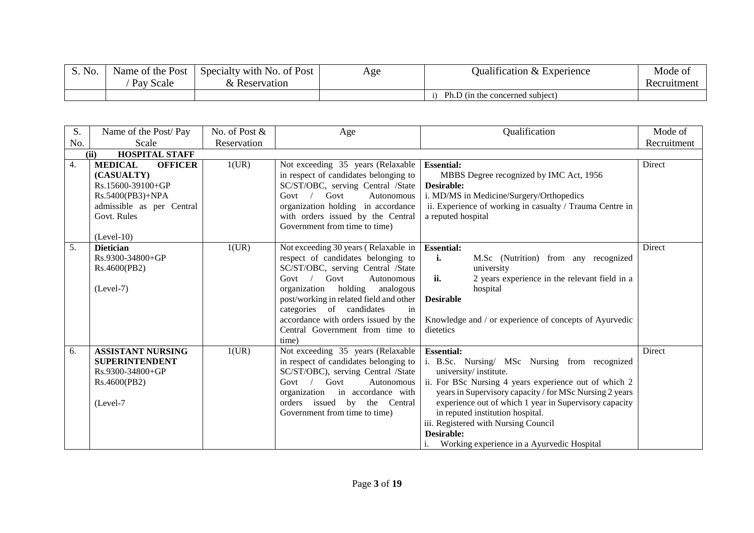| S. No.<br>$\sim$ | Name of the Post | Specialty with No. of Post | Age | $\cdots$<br>Qualification & Experience | Mode of     |
|------------------|------------------|----------------------------|-----|----------------------------------------|-------------|
|                  | Pay<br>Scale     | Reservation                |     |                                        | Recruitment |
|                  |                  |                            |     | Ph.D (in the concerned subject)        |             |

| S.  | Name of the Post/Pay                                                                                                                                | No. of Post & | Age                                                                                                                                                                                                                                                                                                                                                  | Qualification                                                                                                                                                                                                                                                                                                                                                                                                     | Mode of     |
|-----|-----------------------------------------------------------------------------------------------------------------------------------------------------|---------------|------------------------------------------------------------------------------------------------------------------------------------------------------------------------------------------------------------------------------------------------------------------------------------------------------------------------------------------------------|-------------------------------------------------------------------------------------------------------------------------------------------------------------------------------------------------------------------------------------------------------------------------------------------------------------------------------------------------------------------------------------------------------------------|-------------|
| No. | Scale                                                                                                                                               | Reservation   |                                                                                                                                                                                                                                                                                                                                                      |                                                                                                                                                                                                                                                                                                                                                                                                                   | Recruitment |
|     | <b>HOSPITAL STAFF</b><br>(ii)                                                                                                                       |               |                                                                                                                                                                                                                                                                                                                                                      |                                                                                                                                                                                                                                                                                                                                                                                                                   |             |
| 4.  | <b>MEDICAL</b><br><b>OFFICER</b><br>(CASUALTY)<br>Rs.15600-39100+GP<br>Rs.5400(PB3)+NPA<br>admissible as per Central<br>Govt. Rules<br>$(Level-10)$ | 1(UR)         | Not exceeding 35 years (Relaxable<br>in respect of candidates belonging to<br>SC/ST/OBC, serving Central /State<br>Govt<br>$Govt$ /<br>Autonomous<br>organization holding in accordance<br>with orders issued by the Central<br>Government from time to time)                                                                                        | <b>Essential:</b><br>MBBS Degree recognized by IMC Act, 1956<br>Desirable:<br>i. MD/MS in Medicine/Surgery/Orthopedics<br>ii. Experience of working in casualty / Trauma Centre in<br>a reputed hospital                                                                                                                                                                                                          | Direct      |
| 5.  | <b>Dietician</b><br>Rs.9300-34800+GP<br>Rs.4600(PB2)<br>$(Level-7)$                                                                                 | 1(UR)         | Not exceeding 30 years (Relaxable in<br>respect of candidates belonging to<br>SC/ST/OBC, serving Central /State<br>Govt<br>$Govt$ /<br>Autonomous<br>organization holding analogous<br>post/working in related field and other<br>categories of candidates<br>in<br>accordance with orders issued by the<br>Central Government from time to<br>time) | <b>Essential:</b><br>i.<br>M.Sc (Nutrition) from any recognized<br>university<br>ii.<br>2 years experience in the relevant field in a<br>hospital<br><b>Desirable</b><br>Knowledge and / or experience of concepts of Ayurvedic<br>dietetics                                                                                                                                                                      | Direct      |
| 6.  | <b>ASSISTANT NURSING</b><br><b>SUPERINTENDENT</b><br>Rs.9300-34800+GP<br>Rs.4600(PB2)<br>(Level-7                                                   | 1(UR)         | Not exceeding 35 years (Relaxable<br>in respect of candidates belonging to<br>SC/ST/OBC), serving Central /State<br>Govt<br>Govt $/$<br>Autonomous<br>organization in accordance with<br>orders issued by the Central<br>Government from time to time)                                                                                               | <b>Essential:</b><br>i. B.Sc. Nursing/ MSc Nursing from recognized<br>university/institute.<br>ii. For BSc Nursing 4 years experience out of which 2<br>years in Supervisory capacity / for MSc Nursing 2 years<br>experience out of which 1 year in Supervisory capacity<br>in reputed institution hospital.<br>iii. Registered with Nursing Council<br>Desirable:<br>Working experience in a Ayurvedic Hospital | Direct      |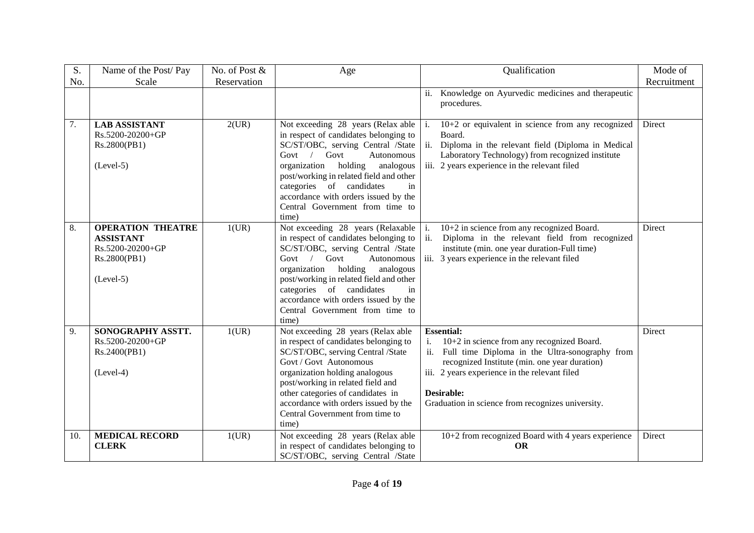| S.  | Name of the Post/Pay                                                                            | No. of Post & | Age                                                                                                                                                                                                                                                                                                                                                      | Qualification<br>Mode of                                                                                                                                                                                                                                                                             |
|-----|-------------------------------------------------------------------------------------------------|---------------|----------------------------------------------------------------------------------------------------------------------------------------------------------------------------------------------------------------------------------------------------------------------------------------------------------------------------------------------------------|------------------------------------------------------------------------------------------------------------------------------------------------------------------------------------------------------------------------------------------------------------------------------------------------------|
| No. | Scale                                                                                           | Reservation   |                                                                                                                                                                                                                                                                                                                                                          | Recruitment                                                                                                                                                                                                                                                                                          |
|     |                                                                                                 |               |                                                                                                                                                                                                                                                                                                                                                          | ii. Knowledge on Ayurvedic medicines and therapeutic<br>procedures.                                                                                                                                                                                                                                  |
| 7.  | <b>LAB ASSISTANT</b><br>$Rs.5200-20200+GP$<br>Rs.2800(PB1)<br>$(Level-5)$                       | 2(UR)         | Not exceeding 28 years (Relax able<br>in respect of candidates belonging to<br>SC/ST/OBC, serving Central /State<br>Govt $/$<br>Govt<br>Autonomous<br>organization holding<br>analogous<br>post/working in related field and other<br>categories of candidates<br>in<br>accordance with orders issued by the<br>Central Government from time to<br>time) | $10+2$ or equivalent in science from any recognized<br>Direct<br>$\vert$ i.<br>Board.<br>ii. Diploma in the relevant field (Diploma in Medical<br>Laboratory Technology) from recognized institute<br>iii. 2 years experience in the relevant filed                                                  |
| 8.  | <b>OPERATION THEATRE</b><br><b>ASSISTANT</b><br>Rs.5200-20200+GP<br>Rs.2800(PB1)<br>$(Level-5)$ | 1(UR)         | Not exceeding 28 years (Relaxable   i.<br>in respect of candidates belonging to<br>SC/ST/OBC, serving Central /State<br>Govt / Govt<br>Autonomous<br>organization holding analogous<br>post/working in related field and other<br>categories of candidates<br>in<br>accordance with orders issued by the<br>Central Government from time to<br>time)     | 10+2 in science from any recognized Board.<br>Direct<br>Diploma in the relevant field from recognized<br>ii.<br>institute (min. one year duration-Full time)<br>iii. 3 years experience in the relevant filed                                                                                        |
| 9.  | SONOGRAPHY ASSTT.<br>Rs.5200-20200+GP<br>Rs.2400(PB1)<br>$(Level-4)$                            | 1(UR)         | Not exceeding 28 years (Relax able<br>in respect of candidates belonging to<br>SC/ST/OBC, serving Central /State<br>Govt / Govt Autonomous<br>organization holding analogous<br>post/working in related field and<br>other categories of candidates in<br>accordance with orders issued by the<br>Central Government from time to<br>time)               | <b>Essential:</b><br>Direct<br>10+2 in science from any recognized Board.<br>ii. Full time Diploma in the Ultra-sonography from<br>recognized Institute (min. one year duration)<br>iii. 2 years experience in the relevant filed<br>Desirable:<br>Graduation in science from recognizes university. |
| 10. | <b>MEDICAL RECORD</b><br><b>CLERK</b>                                                           | 1(UR)         | Not exceeding 28 years (Relax able<br>in respect of candidates belonging to<br>SC/ST/OBC, serving Central /State                                                                                                                                                                                                                                         | 10+2 from recognized Board with 4 years experience<br>Direct<br><b>OR</b>                                                                                                                                                                                                                            |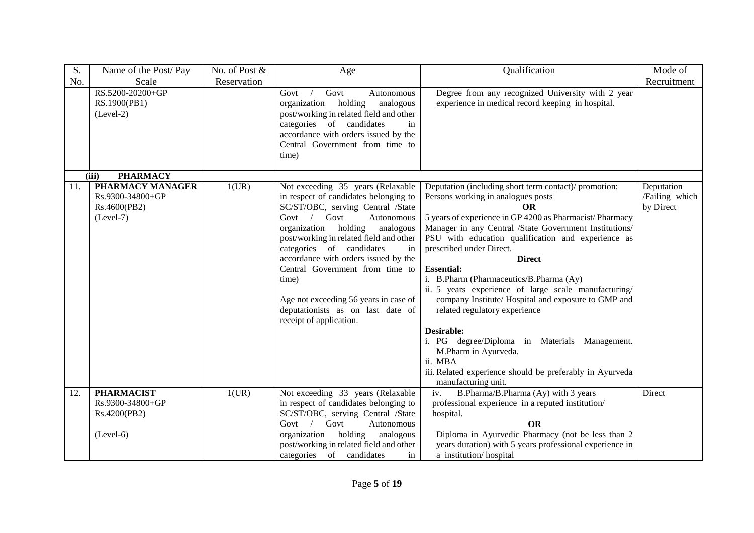| S.  | Name of the Post/Pay                                                | No. of Post & | Age                                                                                                                                                                                                                                                                                                                                                                                                                                                                 | Qualification                                                                                                                                                                                                                                                                                                                                                                                                                                                                                                                                                                                                                                                                                                                         | Mode of                                   |
|-----|---------------------------------------------------------------------|---------------|---------------------------------------------------------------------------------------------------------------------------------------------------------------------------------------------------------------------------------------------------------------------------------------------------------------------------------------------------------------------------------------------------------------------------------------------------------------------|---------------------------------------------------------------------------------------------------------------------------------------------------------------------------------------------------------------------------------------------------------------------------------------------------------------------------------------------------------------------------------------------------------------------------------------------------------------------------------------------------------------------------------------------------------------------------------------------------------------------------------------------------------------------------------------------------------------------------------------|-------------------------------------------|
| No. | Scale                                                               | Reservation   |                                                                                                                                                                                                                                                                                                                                                                                                                                                                     |                                                                                                                                                                                                                                                                                                                                                                                                                                                                                                                                                                                                                                                                                                                                       | Recruitment                               |
|     | RS.5200-20200+GP<br>RS.1900(PB1)<br>$(Level-2)$                     |               | Govt<br>Govt<br>Autonomous<br>holding<br>organization<br>analogous<br>post/working in related field and other<br>categories of candidates<br>in<br>accordance with orders issued by the<br>Central Government from time to<br>time)                                                                                                                                                                                                                                 | Degree from any recognized University with 2 year<br>experience in medical record keeping in hospital.                                                                                                                                                                                                                                                                                                                                                                                                                                                                                                                                                                                                                                |                                           |
|     | <b>PHARMACY</b><br>(iii)                                            |               |                                                                                                                                                                                                                                                                                                                                                                                                                                                                     |                                                                                                                                                                                                                                                                                                                                                                                                                                                                                                                                                                                                                                                                                                                                       |                                           |
| 11. | PHARMACY MANAGER<br>Rs.9300-34800+GP<br>Rs.4600(PB2)<br>$(Level-7)$ | 1(UR)         | Not exceeding 35 years (Relaxable<br>in respect of candidates belonging to<br>SC/ST/OBC, serving Central /State<br>Govt $/$<br>Govt<br>Autonomous<br>organization<br>holding<br>analogous<br>post/working in related field and other<br>categories of candidates<br>in<br>accordance with orders issued by the<br>Central Government from time to<br>time)<br>Age not exceeding 56 years in case of<br>deputationists as on last date of<br>receipt of application. | Deputation (including short term contact)/ promotion:<br>Persons working in analogues posts<br><b>OR</b><br>5 years of experience in GP 4200 as Pharmacist/Pharmacy<br>Manager in any Central /State Government Institutions/<br>PSU with education qualification and experience as<br>prescribed under Direct.<br><b>Direct</b><br><b>Essential:</b><br>i. B.Pharm (Pharmaceutics/B.Pharma (Ay)<br>ii. 5 years experience of large scale manufacturing/<br>company Institute/ Hospital and exposure to GMP and<br>related regulatory experience<br>Desirable:<br>i. PG degree/Diploma in Materials Management.<br>M.Pharm in Ayurveda.<br>ii. MBA<br>iii. Related experience should be preferably in Ayurveda<br>manufacturing unit. | Deputation<br>/Failing which<br>by Direct |
| 12. | <b>PHARMACIST</b><br>Rs.9300-34800+GP<br>Rs.4200(PB2)               | 1(UR)         | Not exceeding 33 years (Relaxable<br>in respect of candidates belonging to<br>SC/ST/OBC, serving Central /State<br>Govt $/$<br>Govt<br>Autonomous                                                                                                                                                                                                                                                                                                                   | B.Pharma/B.Pharma (Ay) with 3 years<br>iv.<br>professional experience in a reputed institution/<br>hospital.<br><b>OR</b>                                                                                                                                                                                                                                                                                                                                                                                                                                                                                                                                                                                                             | Direct                                    |
|     | $(Level-6)$                                                         |               | organization holding<br>analogous<br>post/working in related field and other<br>categories of candidates<br>in                                                                                                                                                                                                                                                                                                                                                      | Diploma in Ayurvedic Pharmacy (not be less than 2<br>years duration) with 5 years professional experience in<br>a institution/hospital                                                                                                                                                                                                                                                                                                                                                                                                                                                                                                                                                                                                |                                           |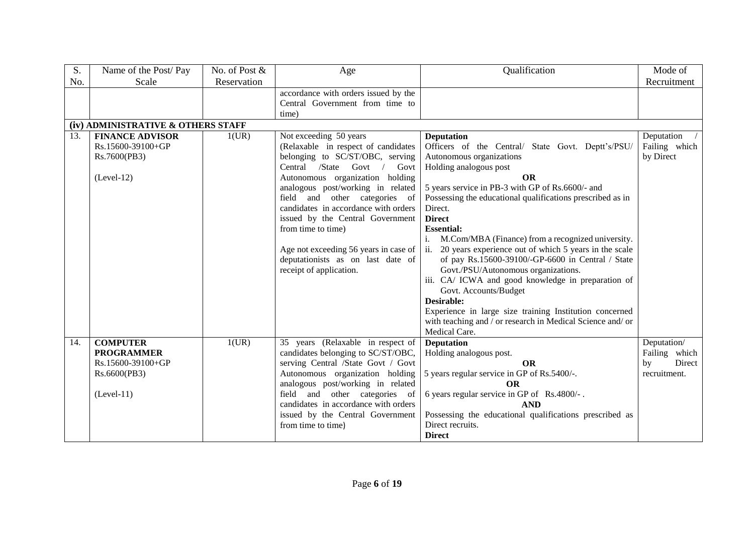| S.  | Name of the Post/Pay               | No. of Post & | Age                                   | Qualification                                                               | Mode of       |
|-----|------------------------------------|---------------|---------------------------------------|-----------------------------------------------------------------------------|---------------|
| No. | Scale                              | Reservation   |                                       |                                                                             | Recruitment   |
|     |                                    |               | accordance with orders issued by the  |                                                                             |               |
|     |                                    |               | Central Government from time to       |                                                                             |               |
|     |                                    |               | time)                                 |                                                                             |               |
|     | (iv) ADMINISTRATIVE & OTHERS STAFF |               |                                       |                                                                             |               |
| 13. | <b>FINANCE ADVISOR</b>             | 1(UR)         | Not exceeding 50 years                | <b>Deputation</b>                                                           | Deputation    |
|     | Rs.15600-39100+GP                  |               | (Relaxable in respect of candidates   | Officers of the Central/ State Govt. Deptt's/PSU/                           | Failing which |
|     | Rs.7600(PB3)                       |               | belonging to SC/ST/OBC, serving       | Autonomous organizations                                                    | by Direct     |
|     |                                    |               | Central /State Govt<br>Govt           | Holding analogous post                                                      |               |
|     | $(Level-12)$                       |               | Autonomous organization holding       | <b>OR</b>                                                                   |               |
|     |                                    |               | analogous post/working in related     | 5 years service in PB-3 with GP of Rs.6600/- and                            |               |
|     |                                    |               | field and other categories of         | Possessing the educational qualifications prescribed as in                  |               |
|     |                                    |               | candidates in accordance with orders  | Direct.                                                                     |               |
|     |                                    |               | issued by the Central Government      | <b>Direct</b>                                                               |               |
|     |                                    |               | from time to time)                    | <b>Essential:</b>                                                           |               |
|     |                                    |               |                                       | M.Com/MBA (Finance) from a recognized university.<br>i.                     |               |
|     |                                    |               | Age not exceeding 56 years in case of | 20 years experience out of which 5 years in the scale<br>11.                |               |
|     |                                    |               | deputationists as on last date of     | of pay Rs.15600-39100/-GP-6600 in Central / State                           |               |
|     |                                    |               | receipt of application.               | Govt./PSU/Autonomous organizations.                                         |               |
|     |                                    |               |                                       | iii. CA/ ICWA and good knowledge in preparation of<br>Govt. Accounts/Budget |               |
|     |                                    |               |                                       | Desirable:                                                                  |               |
|     |                                    |               |                                       | Experience in large size training Institution concerned                     |               |
|     |                                    |               |                                       | with teaching and / or research in Medical Science and/ or                  |               |
|     |                                    |               |                                       | Medical Care.                                                               |               |
| 14. | <b>COMPUTER</b>                    | 1(UR)         | 35 years (Relaxable in respect of     | <b>Deputation</b>                                                           | Deputation/   |
|     | <b>PROGRAMMER</b>                  |               | candidates belonging to SC/ST/OBC,    | Holding analogous post.                                                     | Failing which |
|     | Rs.15600-39100+GP                  |               | serving Central /State Govt / Govt    | <b>OR</b>                                                                   | Direct<br>by  |
|     | Rs.6600(PB3)                       |               | Autonomous organization holding       | 5 years regular service in GP of Rs.5400/-.                                 | recruitment.  |
|     |                                    |               | analogous post/working in related     | <b>OR</b>                                                                   |               |
|     | $(Level-11)$                       |               | field and other categories of         | 6 years regular service in GP of Rs.4800/-.                                 |               |
|     |                                    |               | candidates in accordance with orders  | <b>AND</b>                                                                  |               |
|     |                                    |               | issued by the Central Government      | Possessing the educational qualifications prescribed as                     |               |
|     |                                    |               | from time to time)                    | Direct recruits.                                                            |               |
|     |                                    |               |                                       | <b>Direct</b>                                                               |               |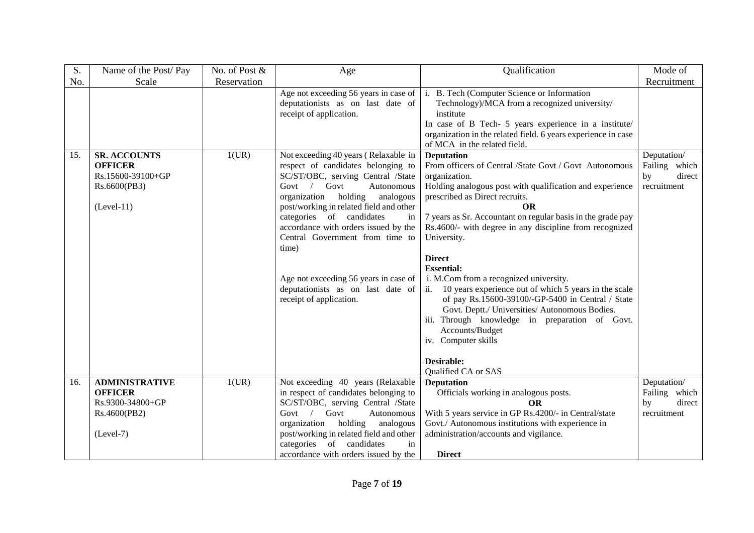| S.  | Name of the Post/Pay                                                                       | No. of Post & | Age                                                                                                                                                                                                                                                                                                                                                                                                                                                                 | Qualification                                                                                                                                                                                                                                                                                                                                                                                                                                                                                                                                                                                                                                                                                                                  | Mode of                                                     |
|-----|--------------------------------------------------------------------------------------------|---------------|---------------------------------------------------------------------------------------------------------------------------------------------------------------------------------------------------------------------------------------------------------------------------------------------------------------------------------------------------------------------------------------------------------------------------------------------------------------------|--------------------------------------------------------------------------------------------------------------------------------------------------------------------------------------------------------------------------------------------------------------------------------------------------------------------------------------------------------------------------------------------------------------------------------------------------------------------------------------------------------------------------------------------------------------------------------------------------------------------------------------------------------------------------------------------------------------------------------|-------------------------------------------------------------|
| No. | Scale                                                                                      | Reservation   |                                                                                                                                                                                                                                                                                                                                                                                                                                                                     |                                                                                                                                                                                                                                                                                                                                                                                                                                                                                                                                                                                                                                                                                                                                | Recruitment                                                 |
|     |                                                                                            |               | Age not exceeding 56 years in case of $\vert$ i.<br>deputationists as on last date of<br>receipt of application.                                                                                                                                                                                                                                                                                                                                                    | B. Tech (Computer Science or Information<br>Technology)/MCA from a recognized university/<br>institute<br>In case of B Tech- 5 years experience in a institute/<br>organization in the related field. 6 years experience in case<br>of MCA in the related field.                                                                                                                                                                                                                                                                                                                                                                                                                                                               |                                                             |
| 15. | <b>SR. ACCOUNTS</b><br><b>OFFICER</b><br>Rs.15600-39100+GP<br>Rs.6600(PB3)<br>$(Level-11)$ | 1(UR)         | Not exceeding 40 years (Relaxable in<br>respect of candidates belonging to<br>SC/ST/OBC, serving Central /State<br>Govt $/$<br>Govt<br>Autonomous<br>organization<br>holding<br>analogous<br>post/working in related field and other<br>categories of candidates<br>in<br>accordance with orders issued by the<br>Central Government from time to<br>time)<br>Age not exceeding 56 years in case of<br>deputationists as on last date of<br>receipt of application. | <b>Deputation</b><br>From officers of Central /State Govt / Govt Autonomous<br>organization.<br>Holding analogous post with qualification and experience<br>prescribed as Direct recruits.<br>OR<br>7 years as Sr. Accountant on regular basis in the grade pay<br>Rs.4600/- with degree in any discipline from recognized<br>University.<br><b>Direct</b><br><b>Essential:</b><br>i. M.Com from a recognized university.<br>ii. 10 years experience out of which 5 years in the scale<br>of pay Rs.15600-39100/-GP-5400 in Central / State<br>Govt. Deptt./ Universities/ Autonomous Bodies.<br>iii. Through knowledge in preparation of Govt.<br>Accounts/Budget<br>iv. Computer skills<br>Desirable:<br>Qualified CA or SAS | Deputation/<br>Failing which<br>direct<br>by<br>recruitment |
| 16. | <b>ADMINISTRATIVE</b><br><b>OFFICER</b><br>Rs.9300-34800+GP<br>Rs.4600(PB2)<br>$(Level-7)$ | 1(UR)         | Not exceeding 40 years (Relaxable<br>in respect of candidates belonging to<br>SC/ST/OBC, serving Central /State<br>Govt $/$<br>Govt<br>Autonomous<br>organization<br>holding<br>analogous<br>post/working in related field and other<br>categories of candidates<br>in<br>accordance with orders issued by the                                                                                                                                                      | <b>Deputation</b><br>Officials working in analogous posts.<br><b>OR</b><br>With 5 years service in GP Rs.4200/- in Central/state<br>Govt./ Autonomous institutions with experience in<br>administration/accounts and vigilance.<br><b>Direct</b>                                                                                                                                                                                                                                                                                                                                                                                                                                                                               | Deputation/<br>Failing which<br>direct<br>by<br>recruitment |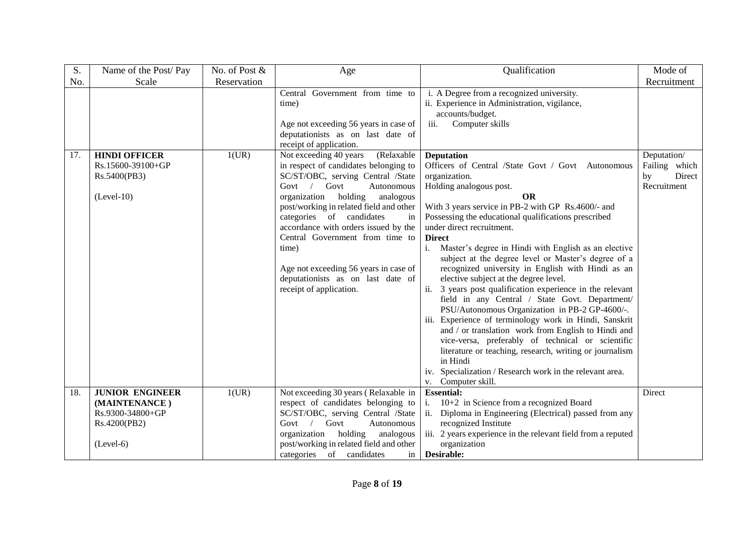| S.  | Name of the Post/Pay                                                      | No. of Post & | Age                                                                                                                                                                                                                                                                                                                                                                                                                                                                                                                                                                                                                         | Qualification                                                                                                                                                                                                                                                                                                                                                                                                                                                                                                                                                                                                                                                                                                                                                                                                                                                                                                                                                                                                                                                            | Mode of                                                     |
|-----|---------------------------------------------------------------------------|---------------|-----------------------------------------------------------------------------------------------------------------------------------------------------------------------------------------------------------------------------------------------------------------------------------------------------------------------------------------------------------------------------------------------------------------------------------------------------------------------------------------------------------------------------------------------------------------------------------------------------------------------------|--------------------------------------------------------------------------------------------------------------------------------------------------------------------------------------------------------------------------------------------------------------------------------------------------------------------------------------------------------------------------------------------------------------------------------------------------------------------------------------------------------------------------------------------------------------------------------------------------------------------------------------------------------------------------------------------------------------------------------------------------------------------------------------------------------------------------------------------------------------------------------------------------------------------------------------------------------------------------------------------------------------------------------------------------------------------------|-------------------------------------------------------------|
| No. | Scale                                                                     | Reservation   |                                                                                                                                                                                                                                                                                                                                                                                                                                                                                                                                                                                                                             |                                                                                                                                                                                                                                                                                                                                                                                                                                                                                                                                                                                                                                                                                                                                                                                                                                                                                                                                                                                                                                                                          | Recruitment                                                 |
| 17. | <b>HINDI OFFICER</b><br>Rs.15600-39100+GP<br>Rs.5400(PB3)<br>$(Level-10)$ | 1(UR)         | Central Government from time to<br>time)<br>Age not exceeding 56 years in case of<br>deputationists as on last date of<br>receipt of application.<br>Not exceeding 40 years<br>(Relaxable<br>in respect of candidates belonging to<br>SC/ST/OBC, serving Central /State<br>Govt $/$<br>Govt<br>Autonomous<br>holding<br>organization<br>analogous<br>post/working in related field and other<br>categories of candidates<br>in<br>accordance with orders issued by the<br>Central Government from time to<br>time)<br>Age not exceeding 56 years in case of<br>deputationists as on last date of<br>receipt of application. | i. A Degree from a recognized university.<br>ii. Experience in Administration, vigilance,<br>accounts/budget.<br>Computer skills<br>iii.<br><b>Deputation</b><br>Officers of Central /State Govt / Govt Autonomous<br>organization.<br>Holding analogous post.<br><b>OR</b><br>With 3 years service in PB-2 with GP Rs.4600/- and<br>Possessing the educational qualifications prescribed<br>under direct recruitment.<br><b>Direct</b><br>Master's degree in Hindi with English as an elective<br>i.<br>subject at the degree level or Master's degree of a<br>recognized university in English with Hindi as an<br>elective subject at the degree level.<br>ii. 3 years post qualification experience in the relevant<br>field in any Central / State Govt. Department/<br>PSU/Autonomous Organization in PB-2 GP-4600/-.<br>iii. Experience of terminology work in Hindi, Sanskrit<br>and / or translation work from English to Hindi and<br>vice-versa, preferably of technical or scientific<br>literature or teaching, research, writing or journalism<br>in Hindi | Deputation/<br>Failing which<br>Direct<br>by<br>Recruitment |
|     |                                                                           |               |                                                                                                                                                                                                                                                                                                                                                                                                                                                                                                                                                                                                                             | iv. Specialization / Research work in the relevant area.<br>v. Computer skill.                                                                                                                                                                                                                                                                                                                                                                                                                                                                                                                                                                                                                                                                                                                                                                                                                                                                                                                                                                                           |                                                             |
| 18. | <b>JUNIOR ENGINEER</b>                                                    | 1(UR)         | Not exceeding 30 years (Relaxable in                                                                                                                                                                                                                                                                                                                                                                                                                                                                                                                                                                                        | <b>Essential:</b>                                                                                                                                                                                                                                                                                                                                                                                                                                                                                                                                                                                                                                                                                                                                                                                                                                                                                                                                                                                                                                                        | Direct                                                      |
|     | (MAINTENANCE)                                                             |               | respect of candidates belonging to                                                                                                                                                                                                                                                                                                                                                                                                                                                                                                                                                                                          | 10+2 in Science from a recognized Board                                                                                                                                                                                                                                                                                                                                                                                                                                                                                                                                                                                                                                                                                                                                                                                                                                                                                                                                                                                                                                  |                                                             |
|     | Rs.9300-34800+GP                                                          |               | SC/ST/OBC, serving Central /State                                                                                                                                                                                                                                                                                                                                                                                                                                                                                                                                                                                           | ii. Diploma in Engineering (Electrical) passed from any                                                                                                                                                                                                                                                                                                                                                                                                                                                                                                                                                                                                                                                                                                                                                                                                                                                                                                                                                                                                                  |                                                             |
|     | Rs.4200(PB2)                                                              |               | Govt $/$<br>Govt<br>Autonomous                                                                                                                                                                                                                                                                                                                                                                                                                                                                                                                                                                                              | recognized Institute                                                                                                                                                                                                                                                                                                                                                                                                                                                                                                                                                                                                                                                                                                                                                                                                                                                                                                                                                                                                                                                     |                                                             |
|     |                                                                           |               | organization holding<br>analogous                                                                                                                                                                                                                                                                                                                                                                                                                                                                                                                                                                                           | iii. 2 years experience in the relevant field from a reputed                                                                                                                                                                                                                                                                                                                                                                                                                                                                                                                                                                                                                                                                                                                                                                                                                                                                                                                                                                                                             |                                                             |
|     | $(Level-6)$                                                               |               | post/working in related field and other<br>categories of candidates<br>in                                                                                                                                                                                                                                                                                                                                                                                                                                                                                                                                                   | organization<br>Desirable:                                                                                                                                                                                                                                                                                                                                                                                                                                                                                                                                                                                                                                                                                                                                                                                                                                                                                                                                                                                                                                               |                                                             |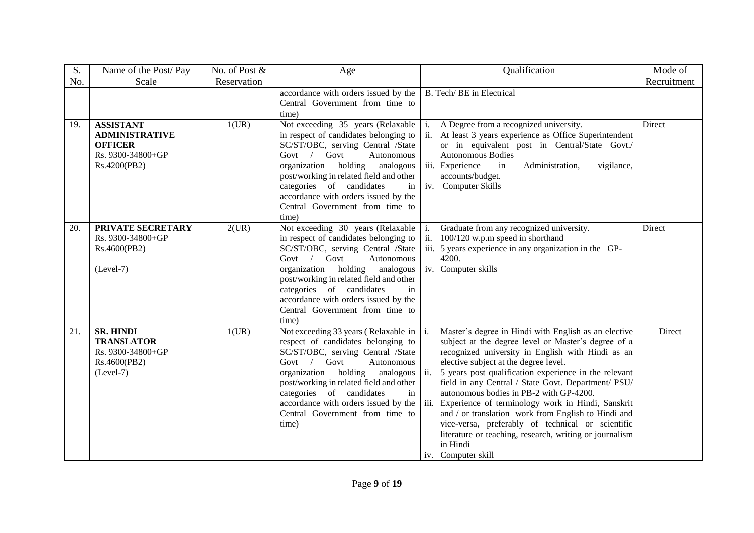| S.  | Name of the Post/Pay              | No. of Post & | Age                                                                          |     | Qualification                                                                              | Mode of     |
|-----|-----------------------------------|---------------|------------------------------------------------------------------------------|-----|--------------------------------------------------------------------------------------------|-------------|
| No. | Scale                             | Reservation   |                                                                              |     |                                                                                            | Recruitment |
|     |                                   |               | accordance with orders issued by the                                         |     | B. Tech/BE in Electrical                                                                   |             |
|     |                                   |               | Central Government from time to                                              |     |                                                                                            |             |
| 19. | <b>ASSISTANT</b>                  | 1(UR)         | time)<br>Not exceeding 35 years (Relaxable                                   | i.  | A Degree from a recognized university.                                                     | Direct      |
|     | <b>ADMINISTRATIVE</b>             |               | in respect of candidates belonging to                                        |     | ii. At least 3 years experience as Office Superintendent                                   |             |
|     | <b>OFFICER</b>                    |               | SC/ST/OBC, serving Central /State                                            |     | or in equivalent post in Central/State Govt./                                              |             |
|     | Rs. 9300-34800+GP                 |               | Autonomous<br>Govt / Govt                                                    |     | <b>Autonomous Bodies</b>                                                                   |             |
|     | Rs.4200(PB2)                      |               | holding<br>organization<br>analogous                                         |     | iii. Experience<br>Administration,<br>vigilance,<br>in                                     |             |
|     |                                   |               | post/working in related field and other                                      |     | accounts/budget.                                                                           |             |
|     |                                   |               | categories of candidates<br>in                                               |     | iv. Computer Skills                                                                        |             |
|     |                                   |               | accordance with orders issued by the<br>Central Government from time to      |     |                                                                                            |             |
|     |                                   |               | time)                                                                        |     |                                                                                            |             |
| 20. | PRIVATE SECRETARY                 | 2(UR)         | Not exceeding 30 years (Relaxable                                            | i.  | Graduate from any recognized university.                                                   | Direct      |
|     | Rs. 9300-34800+GP                 |               | in respect of candidates belonging to                                        | ii. | 100/120 w.p.m speed in shorthand                                                           |             |
|     | Rs.4600(PB2)                      |               | SC/ST/OBC, serving Central /State                                            |     | iii. 5 years experience in any organization in the GP-                                     |             |
|     |                                   |               | Govt / Govt<br>Autonomous                                                    |     | 4200.                                                                                      |             |
|     | $(Level-7)$                       |               | organization holding<br>analogous<br>post/working in related field and other |     | iv. Computer skills                                                                        |             |
|     |                                   |               | categories of candidates<br>in                                               |     |                                                                                            |             |
|     |                                   |               | accordance with orders issued by the                                         |     |                                                                                            |             |
|     |                                   |               | Central Government from time to                                              |     |                                                                                            |             |
|     |                                   |               | time)                                                                        |     |                                                                                            |             |
| 21. | <b>SR. HINDI</b>                  | 1(UR)         | Not exceeding 33 years (Relaxable in                                         | i.  | Master's degree in Hindi with English as an elective                                       | Direct      |
|     | <b>TRANSLATOR</b>                 |               | respect of candidates belonging to                                           |     | subject at the degree level or Master's degree of a                                        |             |
|     | Rs. 9300-34800+GP<br>Rs.4600(PB2) |               | SC/ST/OBC, serving Central /State<br>Govt / Govt<br>Autonomous               |     | recognized university in English with Hindi as an<br>elective subject at the degree level. |             |
|     | $(Level-7)$                       |               | organization holding analogous                                               | ii. | 5 years post qualification experience in the relevant                                      |             |
|     |                                   |               | post/working in related field and other                                      |     | field in any Central / State Govt. Department/ PSU/                                        |             |
|     |                                   |               | categories of candidates<br>in                                               |     | autonomous bodies in PB-2 with GP-4200.                                                    |             |
|     |                                   |               | accordance with orders issued by the                                         |     | iii. Experience of terminology work in Hindi, Sanskrit                                     |             |
|     |                                   |               | Central Government from time to                                              |     | and / or translation work from English to Hindi and                                        |             |
|     |                                   |               | time)                                                                        |     | vice-versa, preferably of technical or scientific                                          |             |
|     |                                   |               |                                                                              |     | literature or teaching, research, writing or journalism<br>in Hindi                        |             |
|     |                                   |               |                                                                              |     | iv. Computer skill                                                                         |             |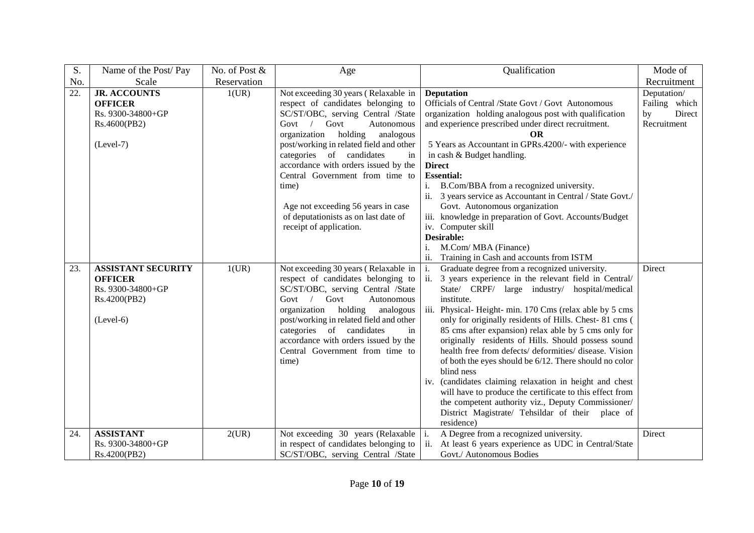| S.                | Name of the Post/Pay      | No. of Post & | Age                                     | Qualification                                                                                                       | Mode of       |
|-------------------|---------------------------|---------------|-----------------------------------------|---------------------------------------------------------------------------------------------------------------------|---------------|
| No.               | Scale                     | Reservation   |                                         |                                                                                                                     | Recruitment   |
| $\overline{22}$ . | <b>JR. ACCOUNTS</b>       | 1(UR)         | Not exceeding 30 years (Relaxable in    | <b>Deputation</b>                                                                                                   | Deputation/   |
|                   | <b>OFFICER</b>            |               | respect of candidates belonging to      | Officials of Central /State Govt / Govt Autonomous                                                                  | Failing which |
|                   | Rs. 9300-34800+GP         |               | SC/ST/OBC, serving Central /State       | organization holding analogous post with qualification                                                              | Direct<br>by  |
|                   | Rs.4600(PB2)              |               | Govt $\sqrt{ }$<br>Govt<br>Autonomous   | and experience prescribed under direct recruitment.                                                                 | Recruitment   |
|                   |                           |               | holding<br>organization<br>analogous    | <b>OR</b>                                                                                                           |               |
|                   | $(Level-7)$               |               | post/working in related field and other | 5 Years as Accountant in GPRs.4200/- with experience                                                                |               |
|                   |                           |               | categories of candidates<br>in          | in cash & Budget handling.                                                                                          |               |
|                   |                           |               | accordance with orders issued by the    | <b>Direct</b>                                                                                                       |               |
|                   |                           |               | Central Government from time to         | <b>Essential:</b>                                                                                                   |               |
|                   |                           |               | time)                                   | B.Com/BBA from a recognized university.<br>i.                                                                       |               |
|                   |                           |               |                                         | 3 years service as Accountant in Central / State Govt./<br>ii.                                                      |               |
|                   |                           |               | Age not exceeding 56 years in case      | Govt. Autonomous organization                                                                                       |               |
|                   |                           |               | of deputationists as on last date of    | iii. knowledge in preparation of Govt. Accounts/Budget                                                              |               |
|                   |                           |               | receipt of application.                 | iv. Computer skill                                                                                                  |               |
|                   |                           |               |                                         | Desirable:                                                                                                          |               |
|                   |                           |               |                                         | M.Com/ MBA (Finance)<br>i.                                                                                          |               |
|                   |                           |               |                                         | ii.<br>Training in Cash and accounts from ISTM                                                                      |               |
| 23.               | <b>ASSISTANT SECURITY</b> | 1(UR)         | Not exceeding 30 years (Relaxable in    | Graduate degree from a recognized university.<br>i.                                                                 | Direct        |
|                   | <b>OFFICER</b>            |               | respect of candidates belonging to      | 3 years experience in the relevant field in Central/                                                                |               |
|                   | Rs. 9300-34800+GP         |               | SC/ST/OBC, serving Central /State       | State/ CRPF/ large industry/ hospital/medical                                                                       |               |
|                   | Rs.4200(PB2)              |               | Govt / Govt<br>Autonomous               | institute.                                                                                                          |               |
|                   |                           |               | organization<br>analogous<br>holding    | iii. Physical-Height-min. 170 Cms (relax able by 5 cms                                                              |               |
|                   | $(Level-6)$               |               | post/working in related field and other | only for originally residents of Hills. Chest-81 cms (                                                              |               |
|                   |                           |               | categories of candidates<br>in          | 85 cms after expansion) relax able by 5 cms only for                                                                |               |
|                   |                           |               | accordance with orders issued by the    | originally residents of Hills. Should possess sound                                                                 |               |
|                   |                           |               | Central Government from time to         | health free from defects/ deformities/ disease. Vision                                                              |               |
|                   |                           |               | time)                                   | of both the eyes should be 6/12. There should no color<br>blind ness                                                |               |
|                   |                           |               |                                         |                                                                                                                     |               |
|                   |                           |               |                                         | iv. (candidates claiming relaxation in height and chest<br>will have to produce the certificate to this effect from |               |
|                   |                           |               |                                         | the competent authority viz., Deputy Commissioner/                                                                  |               |
|                   |                           |               |                                         | District Magistrate/ Tehsildar of their place of                                                                    |               |
|                   |                           |               |                                         | residence)                                                                                                          |               |
| 24.               | <b>ASSISTANT</b>          | 2(UR)         | Not exceeding 30 years (Relaxable       | $\mathbf{i}$ .<br>A Degree from a recognized university.                                                            | Direct        |
|                   | Rs. 9300-34800+GP         |               | in respect of candidates belonging to   | At least 6 years experience as UDC in Central/State                                                                 |               |
|                   | Rs.4200(PB2)              |               | SC/ST/OBC, serving Central /State       | Govt./ Autonomous Bodies                                                                                            |               |
|                   |                           |               |                                         |                                                                                                                     |               |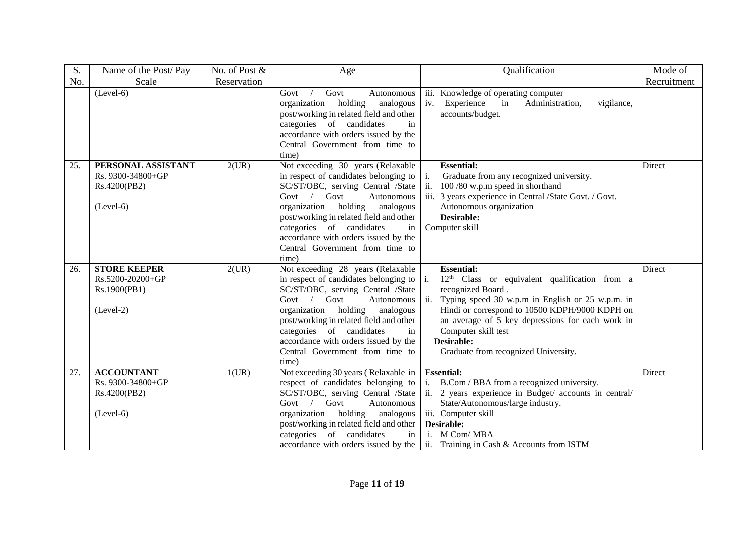| S.  | Name of the Post/Pay                                                   | No. of Post & | Age                                                                                                                                                                                                                                                                                                                                                | Qualification                                                                                                                                                                                                                                                                                                                                                  | Mode of     |
|-----|------------------------------------------------------------------------|---------------|----------------------------------------------------------------------------------------------------------------------------------------------------------------------------------------------------------------------------------------------------------------------------------------------------------------------------------------------------|----------------------------------------------------------------------------------------------------------------------------------------------------------------------------------------------------------------------------------------------------------------------------------------------------------------------------------------------------------------|-------------|
| No. | Scale                                                                  | Reservation   |                                                                                                                                                                                                                                                                                                                                                    |                                                                                                                                                                                                                                                                                                                                                                | Recruitment |
|     | $(Level-6)$                                                            |               | Govt<br>Govt<br>Autonomous<br>organization<br>holding<br>analogous<br>post/working in related field and other<br>categories of candidates<br>in<br>accordance with orders issued by the<br>Central Government from time to<br>time)                                                                                                                | iii. Knowledge of operating computer<br>in<br>Administration,<br>iv. Experience<br>vigilance,<br>accounts/budget.                                                                                                                                                                                                                                              |             |
| 25. | PERSONAL ASSISTANT<br>Rs. 9300-34800+GP<br>Rs.4200(PB2)<br>$(Level-6)$ | 2(UR)         | Not exceeding 30 years (Relaxable<br>in respect of candidates belonging to<br>SC/ST/OBC, serving Central /State<br>Govt / Govt<br>Autonomous<br>organization holding<br>analogous<br>post/working in related field and other<br>categories of candidates<br>in<br>accordance with orders issued by the<br>Central Government from time to<br>time) | <b>Essential:</b><br>$\mathrm{i}.$<br>Graduate from any recognized university.<br>ii.<br>100/80 w.p.m speed in shorthand<br>iii. 3 years experience in Central /State Govt. / Govt.<br>Autonomous organization<br>Desirable:<br>Computer skill                                                                                                                 | Direct      |
| 26. | <b>STORE KEEPER</b><br>Rs.5200-20200+GP<br>Rs.1900(PB1)<br>$(Level-2)$ | 2(UR)         | Not exceeding 28 years (Relaxable<br>in respect of candidates belonging to<br>SC/ST/OBC, serving Central /State<br>Govt / Govt<br>Autonomous<br>organization holding<br>analogous<br>post/working in related field and other<br>categories of candidates<br>in<br>accordance with orders issued by the<br>Central Government from time to<br>time) | <b>Essential:</b><br>i.<br>12 <sup>th</sup> Class or equivalent qualification from a<br>recognized Board.<br>ii.<br>Typing speed 30 w.p.m in English or 25 w.p.m. in<br>Hindi or correspond to 10500 KDPH/9000 KDPH on<br>an average of 5 key depressions for each work in<br>Computer skill test<br><b>Desirable:</b><br>Graduate from recognized University. | Direct      |
| 27. | <b>ACCOUNTANT</b><br>Rs. 9300-34800+GP<br>Rs.4200(PB2)<br>$(Level-6)$  | 1(UR)         | Not exceeding 30 years (Relaxable in<br>respect of candidates belonging to<br>SC/ST/OBC, serving Central /State<br>Govt $/$<br>Govt<br>Autonomous<br>organization holding<br>analogous<br>post/working in related field and other<br>categories of candidates<br>in<br>accordance with orders issued by the                                        | <b>Essential:</b><br>i.<br>B.Com / BBA from a recognized university.<br>ii. 2 years experience in Budget/ accounts in central/<br>State/Autonomous/large industry.<br>iii. Computer skill<br>Desirable:<br>i. M Com/MBA<br>ii.<br>Training in Cash & Accounts from ISTM                                                                                        | Direct      |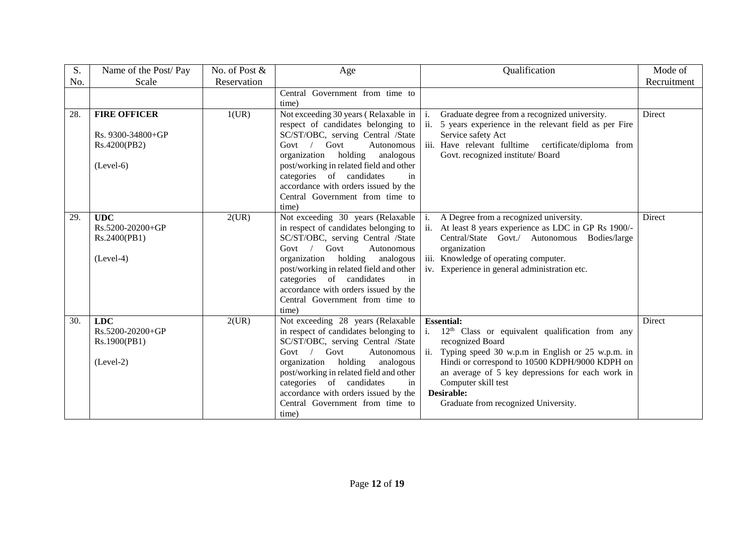| S.  | Name of the Post/Pay                                                    | No. of Post & | Age                                                                                                                                                                                                                                                                                                                                                                | Qualification                                                                                                                                                                                                                                                                                                                            | Mode of     |
|-----|-------------------------------------------------------------------------|---------------|--------------------------------------------------------------------------------------------------------------------------------------------------------------------------------------------------------------------------------------------------------------------------------------------------------------------------------------------------------------------|------------------------------------------------------------------------------------------------------------------------------------------------------------------------------------------------------------------------------------------------------------------------------------------------------------------------------------------|-------------|
| No. | Scale                                                                   | Reservation   |                                                                                                                                                                                                                                                                                                                                                                    |                                                                                                                                                                                                                                                                                                                                          | Recruitment |
|     |                                                                         |               | Central Government from time to<br>time)                                                                                                                                                                                                                                                                                                                           |                                                                                                                                                                                                                                                                                                                                          |             |
| 28. | <b>FIRE OFFICER</b><br>Rs. 9300-34800+GP<br>Rs.4200(PB2)<br>$(Level-6)$ | 1(UR)         | Not exceeding 30 years (Relaxable in $\vert$ i.<br>respect of candidates belonging to<br>SC/ST/OBC, serving Central /State<br>Govt $/$<br>Govt<br>Autonomous<br>organization holding<br>analogous<br>post/working in related field and other<br>categories of candidates<br>in<br>accordance with orders issued by the<br>Central Government from time to<br>time) | Graduate degree from a recognized university.<br>ii.<br>5 years experience in the relevant field as per Fire<br>Service safety Act<br>iii. Have relevant fulltime<br>certificate/diploma from<br>Govt. recognized institute/ Board                                                                                                       | Direct      |
| 29. | <b>UDC</b><br>Rs.5200-20200+GP<br>Rs.2400(PB1)<br>$(Level-4)$           | 2(UR)         | Not exceeding 30 years (Relaxable<br>in respect of candidates belonging to<br>SC/ST/OBC, serving Central /State<br>Govt / Govt<br>Autonomous<br>organization holding analogous<br>post/working in related field and other<br>categories of candidates<br>in<br>accordance with orders issued by the<br>Central Government from time to<br>time)                    | A Degree from a recognized university.<br>li.<br>ii.<br>At least 8 years experience as LDC in GP Rs 1900/-<br>Central/State Govt./ Autonomous Bodies/large<br>organization<br>iii. Knowledge of operating computer.<br>iv. Experience in general administration etc.                                                                     | Direct      |
| 30. | <b>LDC</b><br>Rs.5200-20200+GP<br>Rs.1900(PB1)<br>$(Level-2)$           | 2(UR)         | Not exceeding 28 years (Relaxable<br>in respect of candidates belonging to<br>SC/ST/OBC, serving Central /State<br>Govt / Govt<br>Autonomous<br>organization holding analogous<br>post/working in related field and other<br>categories of candidates<br>in<br>accordance with orders issued by the<br>Central Government from time to<br>time)                    | <b>Essential:</b><br>$12th$ Class or equivalent qualification from any<br>recognized Board<br>ii.<br>Typing speed 30 w.p.m in English or 25 w.p.m. in<br>Hindi or correspond to 10500 KDPH/9000 KDPH on<br>an average of 5 key depressions for each work in<br>Computer skill test<br>Desirable:<br>Graduate from recognized University. | Direct      |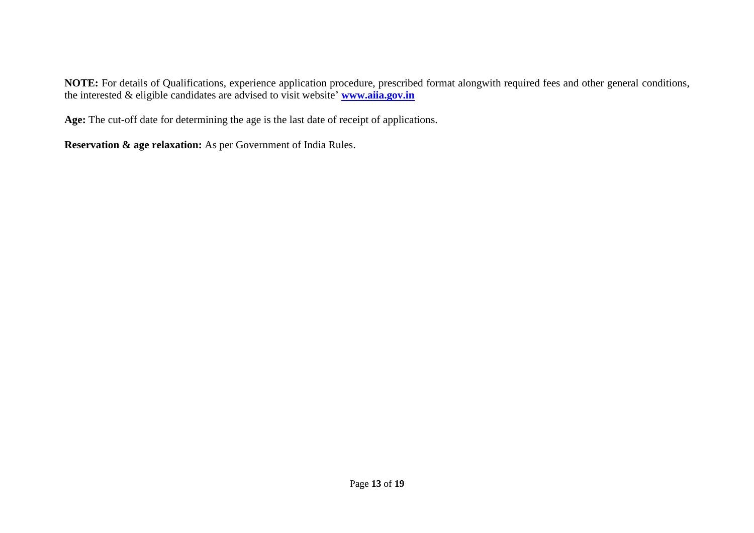**NOTE:** For details of Qualifications, experience application procedure, prescribed format alongwith required fees and other general conditions, the interested & eligible candidates are advised to visit website' **[www.aiia.gov.in](http://www.aiia.gov.in/)**

**Age:** The cut-off date for determining the age is the last date of receipt of applications.

**Reservation & age relaxation:** As per Government of India Rules.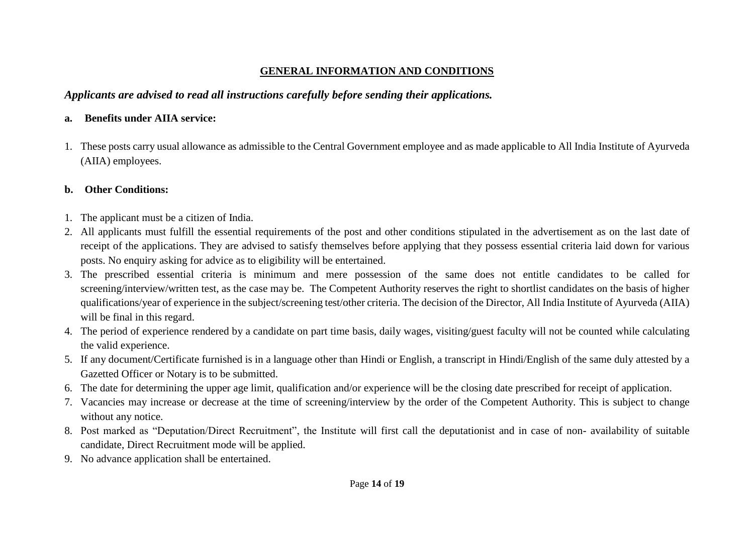## **GENERAL INFORMATION AND CONDITIONS**

## *Applicants are advised to read all instructions carefully before sending their applications.*

## **a. Benefits under AIIA service:**

1. These posts carry usual allowance as admissible to the Central Government employee and as made applicable to All India Institute of Ayurveda (AIIA) employees.

### **b. Other Conditions:**

- 1. The applicant must be a citizen of India.
- 2. All applicants must fulfill the essential requirements of the post and other conditions stipulated in the advertisement as on the last date of receipt of the applications. They are advised to satisfy themselves before applying that they possess essential criteria laid down for various posts. No enquiry asking for advice as to eligibility will be entertained.
- 3. The prescribed essential criteria is minimum and mere possession of the same does not entitle candidates to be called for screening/interview/written test, as the case may be. The Competent Authority reserves the right to shortlist candidates on the basis of higher qualifications/year of experience in the subject/screening test/other criteria. The decision of the Director, All India Institute of Ayurveda (AIIA) will be final in this regard.
- 4. The period of experience rendered by a candidate on part time basis, daily wages, visiting/guest faculty will not be counted while calculating the valid experience.
- 5. If any document/Certificate furnished is in a language other than Hindi or English, a transcript in Hindi/English of the same duly attested by a Gazetted Officer or Notary is to be submitted.
- 6. The date for determining the upper age limit, qualification and/or experience will be the closing date prescribed for receipt of application.
- 7. Vacancies may increase or decrease at the time of screening/interview by the order of the Competent Authority. This is subject to change without any notice.
- 8. Post marked as "Deputation/Direct Recruitment", the Institute will first call the deputationist and in case of non- availability of suitable candidate, Direct Recruitment mode will be applied.
- 9. No advance application shall be entertained.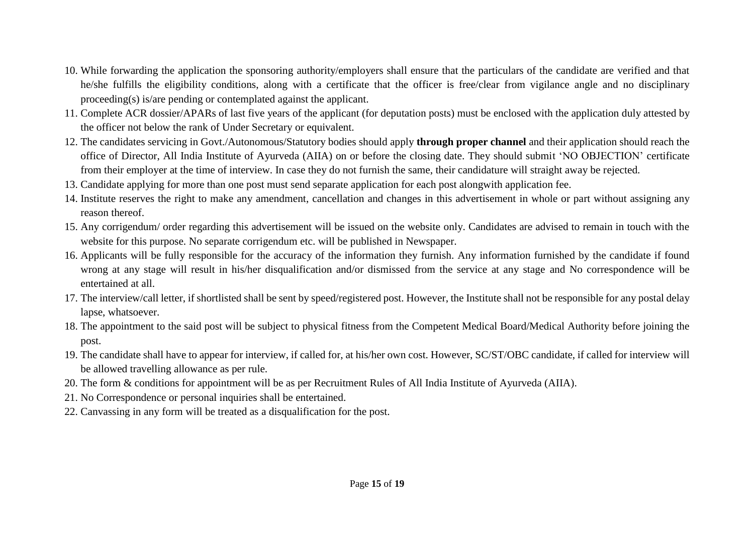- 10. While forwarding the application the sponsoring authority/employers shall ensure that the particulars of the candidate are verified and that he/she fulfills the eligibility conditions, along with a certificate that the officer is free/clear from vigilance angle and no disciplinary proceeding(s) is/are pending or contemplated against the applicant.
- 11. Complete ACR dossier/APARs of last five years of the applicant (for deputation posts) must be enclosed with the application duly attested by the officer not below the rank of Under Secretary or equivalent.
- 12. The candidates servicing in Govt./Autonomous/Statutory bodies should apply **through proper channel** and their application should reach the office of Director, All India Institute of Ayurveda (AIIA) on or before the closing date. They should submit 'NO OBJECTION' certificate from their employer at the time of interview. In case they do not furnish the same, their candidature will straight away be rejected.
- 13. Candidate applying for more than one post must send separate application for each post alongwith application fee.
- 14. Institute reserves the right to make any amendment, cancellation and changes in this advertisement in whole or part without assigning any reason thereof.
- 15. Any corrigendum/ order regarding this advertisement will be issued on the website only. Candidates are advised to remain in touch with the website for this purpose. No separate corrigendum etc. will be published in Newspaper.
- 16. Applicants will be fully responsible for the accuracy of the information they furnish. Any information furnished by the candidate if found wrong at any stage will result in his/her disqualification and/or dismissed from the service at any stage and No correspondence will be entertained at all.
- 17. The interview/call letter, if shortlisted shall be sent by speed/registered post. However, the Institute shall not be responsible for any postal delay lapse, whatsoever.
- 18. The appointment to the said post will be subject to physical fitness from the Competent Medical Board/Medical Authority before joining the post.
- 19. The candidate shall have to appear for interview, if called for, at his/her own cost. However, SC/ST/OBC candidate, if called for interview will be allowed travelling allowance as per rule.
- 20. The form & conditions for appointment will be as per Recruitment Rules of All India Institute of Ayurveda (AIIA).
- 21. No Correspondence or personal inquiries shall be entertained.
- 22. Canvassing in any form will be treated as a disqualification for the post.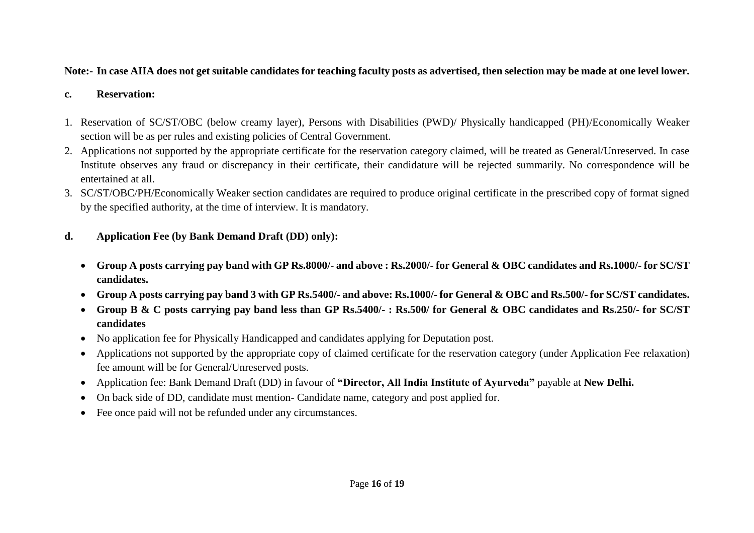## **Note:- In case AIIA does not get suitable candidates for teaching faculty posts as advertised, then selection may be made at one level lower.**

#### **c. Reservation:**

- 1. Reservation of SC/ST/OBC (below creamy layer), Persons with Disabilities (PWD)/ Physically handicapped (PH)/Economically Weaker section will be as per rules and existing policies of Central Government.
- 2. Applications not supported by the appropriate certificate for the reservation category claimed, will be treated as General/Unreserved. In case Institute observes any fraud or discrepancy in their certificate, their candidature will be rejected summarily. No correspondence will be entertained at all.
- 3. SC/ST/OBC/PH/Economically Weaker section candidates are required to produce original certificate in the prescribed copy of format signed by the specified authority, at the time of interview. It is mandatory.
- **d. Application Fee (by Bank Demand Draft (DD) only):**
	- **Group A posts carrying pay band with GP Rs.8000/- and above : Rs.2000/- for General & OBC candidates and Rs.1000/- for SC/ST candidates.**
	- **Group A posts carrying pay band 3 with GP Rs.5400/- and above: Rs.1000/- for General & OBC and Rs.500/- for SC/ST candidates.**
	- **Group B & C posts carrying pay band less than GP Rs.5400/- : Rs.500/ for General & OBC candidates and Rs.250/- for SC/ST candidates**
	- No application fee for Physically Handicapped and candidates applying for Deputation post.
	- Applications not supported by the appropriate copy of claimed certificate for the reservation category (under Application Fee relaxation) fee amount will be for General/Unreserved posts.
	- Application fee: Bank Demand Draft (DD) in favour of **"Director, All India Institute of Ayurveda"** payable at **New Delhi.**
	- On back side of DD, candidate must mention- Candidate name, category and post applied for.
	- Fee once paid will not be refunded under any circumstances.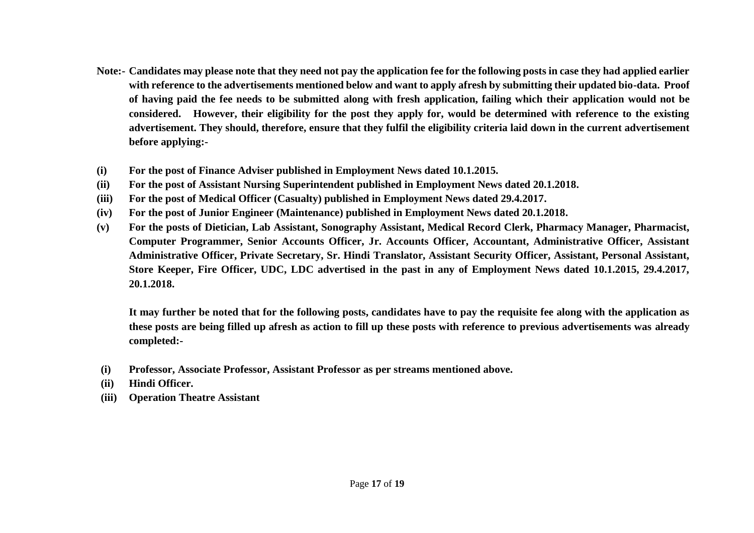- **Note:- Candidates may please note that they need not pay the application fee for the following posts in case they had applied earlier with reference to the advertisements mentioned below and want to apply afresh by submitting their updated bio-data. Proof of having paid the fee needs to be submitted along with fresh application, failing which their application would not be considered. However, their eligibility for the post they apply for, would be determined with reference to the existing advertisement. They should, therefore, ensure that they fulfil the eligibility criteria laid down in the current advertisement before applying:-**
- **(i) For the post of Finance Adviser published in Employment News dated 10.1.2015.**
- **(ii) For the post of Assistant Nursing Superintendent published in Employment News dated 20.1.2018.**
- **(iii) For the post of Medical Officer (Casualty) published in Employment News dated 29.4.2017.**
- **(iv) For the post of Junior Engineer (Maintenance) published in Employment News dated 20.1.2018.**
- **(v) For the posts of Dietician, Lab Assistant, Sonography Assistant, Medical Record Clerk, Pharmacy Manager, Pharmacist, Computer Programmer, Senior Accounts Officer, Jr. Accounts Officer, Accountant, Administrative Officer, Assistant Administrative Officer, Private Secretary, Sr. Hindi Translator, Assistant Security Officer, Assistant, Personal Assistant, Store Keeper, Fire Officer, UDC, LDC advertised in the past in any of Employment News dated 10.1.2015, 29.4.2017, 20.1.2018.**

**It may further be noted that for the following posts, candidates have to pay the requisite fee along with the application as these posts are being filled up afresh as action to fill up these posts with reference to previous advertisements was already completed:-**

- **(i) Professor, Associate Professor, Assistant Professor as per streams mentioned above.**
- **(ii) Hindi Officer.**
- **(iii) Operation Theatre Assistant**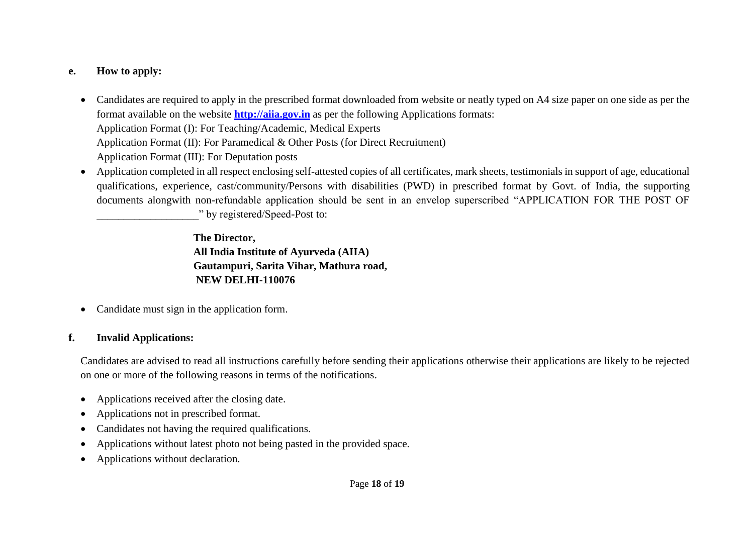### **e. How to apply:**

- Candidates are required to apply in the prescribed format downloaded from website or neatly typed on A4 size paper on one side as per the format available on the website **http://aiia.gov.in** as per the following Applications formats: Application Format (I): For Teaching/Academic, Medical Experts Application Format (II): For Paramedical & Other Posts (for Direct Recruitment) Application Format (III): For Deputation posts
- Application completed in all respect enclosing self-attested copies of all certificates, mark sheets, testimonials in support of age, educational qualifications, experience, cast/community/Persons with disabilities (PWD) in prescribed format by Govt. of India, the supporting documents alongwith non-refundable application should be sent in an envelop superscribed "APPLICATION FOR THE POST OF \_\_\_\_\_\_\_\_\_\_\_\_\_\_\_\_\_\_\_" by registered/Speed-Post to:

**The Director, All India Institute of Ayurveda (AIIA) Gautampuri, Sarita Vihar, Mathura road, NEW DELHI-110076**

• Candidate must sign in the application form.

#### **f. Invalid Applications:**

Candidates are advised to read all instructions carefully before sending their applications otherwise their applications are likely to be rejected on one or more of the following reasons in terms of the notifications.

- Applications received after the closing date.
- Applications not in prescribed format.
- Candidates not having the required qualifications.
- Applications without latest photo not being pasted in the provided space.
- Applications without declaration.